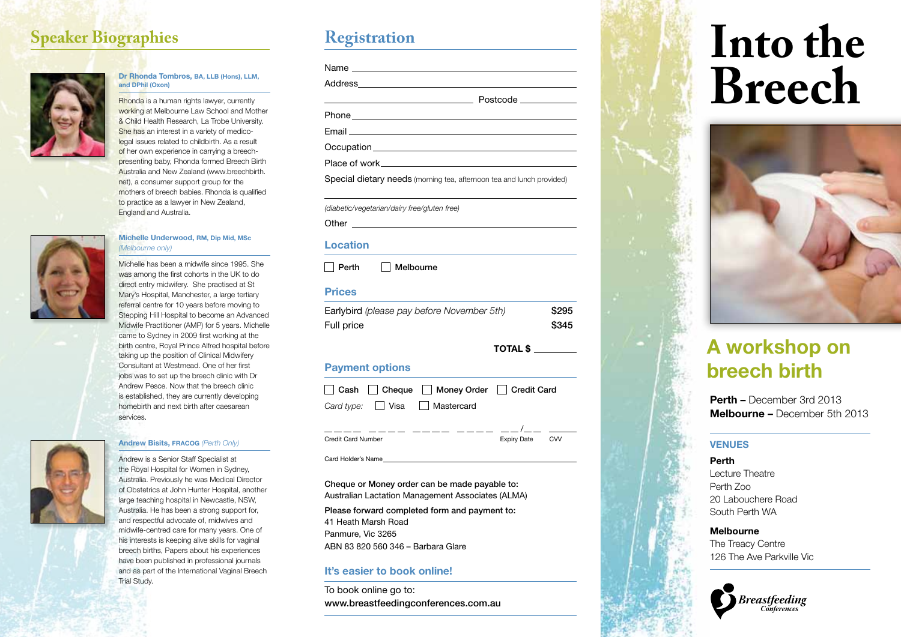## **Speaker Biographies Registration**



### **Dr Rhonda Tombros, BA, LLB (Hons), LLM, and DPhil ( Oxon)**

Rhonda is a human rights lawyer, currently working at Melbourne Law School and Mother & Child Health Research, La Trobe University. She has an interest in a variety of medicolegal issues related to childbirth. As a result of her own experience in carrying a breechpresenting baby, Rhonda formed Breech Birth Australia and New Zealand (www.breechbirth. net), a consumer support group for the mothers of breech babies. Rhonda is qualified to practice as a lawyer in New Zealand, England and Australia.

### **Michelle Underwood, RM, Dip Mid, M S c** *(Melbourne only)*

Michelle has been a midwife since 1995. She was among the first cohorts in the UK to do direct entry midwifery. She practised at St Mary's Hospital, Manchester, a large tertiary referral centre for 10 years before moving to Stepping Hill Hospital to become an Advanced Midwife Practitioner (AMP) for 5 years. Michelle came to Sydney in 2009 first working at the birth centre, Royal Prince Alfred hospital before taking up the position of Clinical Midwifery Consultant at Westmead. One of her first jobs was to set up the breech clinic with Dr Andrew Pesce. Now that the breech clinic is established, they are currently developing homebirth and next birth after caesarean services.

### **Andrew Bisits, FRAC O G** *(Perth Only)*

Andrew is a Senior Staff Specialist at the Royal Hospital for Women in Sydney, Australia. Previously he was Medical Director of Obstetrics at John Hunter Hospital, another large teaching hospital in Newcastle, NSW, Australia. He has been a strong support for, and respectful advocate of, midwives and midwife-centred care for many years. One of his interests is keeping alive skills for vaginal breech births, Papers about his experiences have been published in professional journals and as part of the International Vaginal Breech

Trial Study.

| Email experience and the contract of the contract of the contract of the contract of the contract of the contract of |  |
|----------------------------------------------------------------------------------------------------------------------|--|
|                                                                                                                      |  |
|                                                                                                                      |  |
| Special dietary needs (morning tea, afternoon tea and lunch provided)                                                |  |

*(diabetic/vegetarian/dairy free/gluten free)*

Other **Communist Communist Communist Communist Communist Communist Communist Communist Communist Communist Communist Communist Communist Communist Communist Communist Communist Communist Communist Communist Communist Commu** 

### **Location**

| Perth | Melbourne |
|-------|-----------|
|-------|-----------|

### **Prices**

| Earlybird (please pay before November 5th) | \$295 |
|--------------------------------------------|-------|
| Full price                                 | \$345 |

**Total \$**

/

### **Payment options**

|  | □ Cash □ Cheque □ Money Order □ Credit Card |  |
|--|---------------------------------------------|--|
|  | Card type: $\Box$ Visa $\Box$ Mastercard    |  |

Credit Card Number **Expiry Date** CVV

Card Holder's Name

Cheque or Money order can be made payable to: Australian Lactation Management Associates (ALMA)

Please forward completed form and payment to: 41 Heath Marsh Road Panmure, Vic 3265 ABN 83 820 560 346 – Barbara Glare

### **It's easier to book online!**

To book online go to: www.breastfeedingconferences.com.au

# **Into the Breech**



# **A workshop on breech birth**

**Perth –** December 3rd 2013 **Melbourne –** December 5th 2013

### **Venues**

**Perth** 

Lecture Theatre Perth Zoo 20 Labouchere Road South Perth WA

### **Melbourne**

The Treacy Centre 126 The Ave Parkville Vic